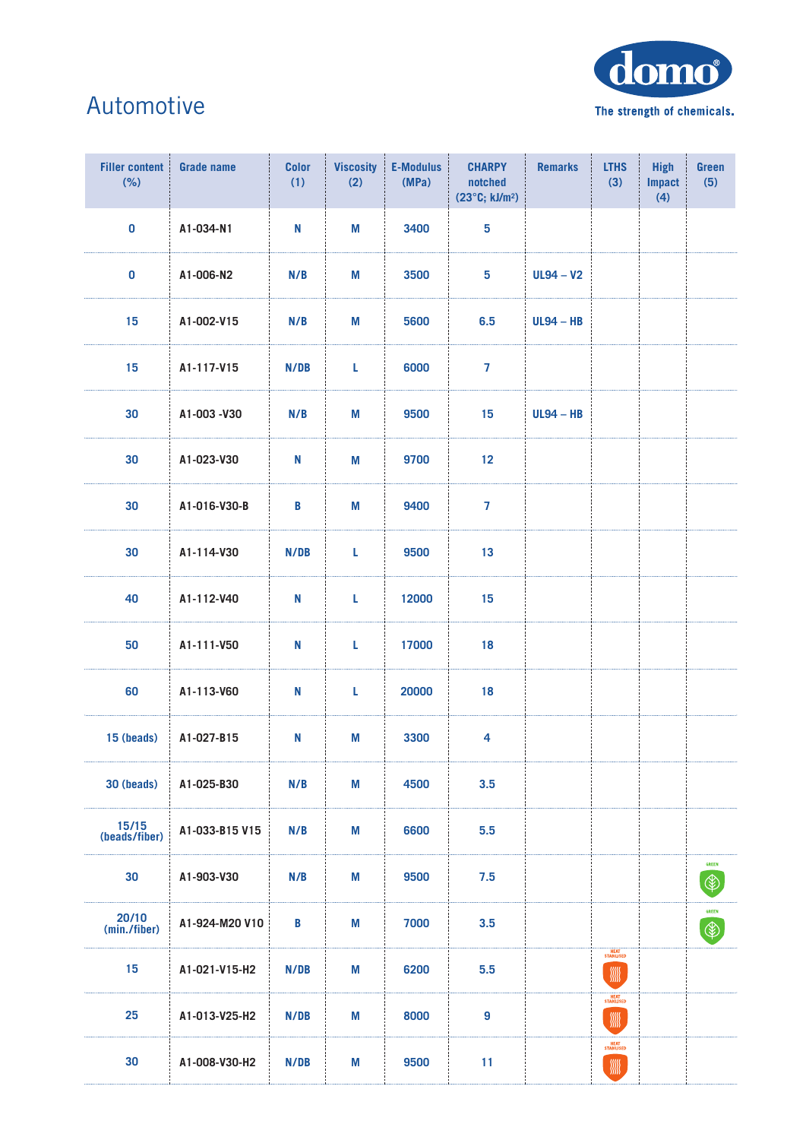

## Automotive

| <b>Grade name</b> | <b>Color</b><br>(1) | <b>Viscosity</b><br>(2) | <b>E-Modulus</b><br>(MPa) | <b>CHARPY</b><br>notched<br>(23°C; kJ/m <sup>2</sup> ) | <b>Remarks</b> | <b>LTHS</b><br>(3)       | <b>High</b><br><b>Impact</b><br>(4) | Green<br>(5)                  |
|-------------------|---------------------|-------------------------|---------------------------|--------------------------------------------------------|----------------|--------------------------|-------------------------------------|-------------------------------|
| A1-034-N1         | N                   | M                       | 3400                      | 5                                                      |                |                          |                                     |                               |
| A1-006-N2         | N/B                 | M                       | 3500                      | 5                                                      | $UL94 - V2$    |                          |                                     |                               |
| A1-002-V15        | N/B                 | M                       | 5600                      | 6.5                                                    | $UL94 - HB$    |                          |                                     |                               |
| A1-117-V15        | N/DB                | L                       | 6000                      | $\overline{7}$                                         |                |                          |                                     |                               |
| A1-003-V30        | N/B                 | M                       | 9500                      | 15                                                     | $UL94 - HB$    |                          |                                     |                               |
| A1-023-V30        | N                   | M                       | 9700                      | 12                                                     |                |                          |                                     |                               |
| A1-016-V30-B      | B                   | M                       | 9400                      | $\overline{7}$                                         |                |                          |                                     |                               |
| A1-114-V30        | N/DB                | L                       | 9500                      | 13                                                     |                |                          |                                     |                               |
| A1-112-V40        | N                   | L                       | 12000                     | 15                                                     |                |                          |                                     |                               |
| A1-111-V50        | N                   | L                       | 17000                     | 18                                                     |                |                          |                                     |                               |
| A1-113-V60        | N                   | L                       | 20000                     | 18                                                     |                |                          |                                     |                               |
| A1-027-B15        | N                   | M                       | 3300                      | 4                                                      |                |                          |                                     |                               |
| A1-025-B30        | N/B                 | M                       | 4500                      | 3.5                                                    |                |                          |                                     |                               |
| A1-033-B15 V15    | N/B                 | M                       | 6600                      | 5.5                                                    |                |                          |                                     |                               |
| A1-903-V30        | N/B                 | M                       | 9500                      | 7.5                                                    |                |                          |                                     | GREEN<br>$\circledast$        |
| A1-924-M20 V10    | B                   | Μ                       | 7000                      | 3.5                                                    |                |                          |                                     | <b>GREEN</b><br>$\circledast$ |
| A1-021-V15-H2     | N/DB                | Μ                       | 6200                      | 5.5                                                    |                | WW                       |                                     |                               |
| A1-013-V25-H2     | N/DB                | M                       | 8000                      | 9                                                      |                | HEAT<br>STABILISED       |                                     |                               |
| A1-008-V30-H2     | N/DB                | M                       | 9500                      | 11                                                     |                | HEAT<br>STABILISED<br>WW |                                     |                               |
|                   |                     |                         |                           |                                                        |                |                          | HEAT<br>STABILISED                  |                               |